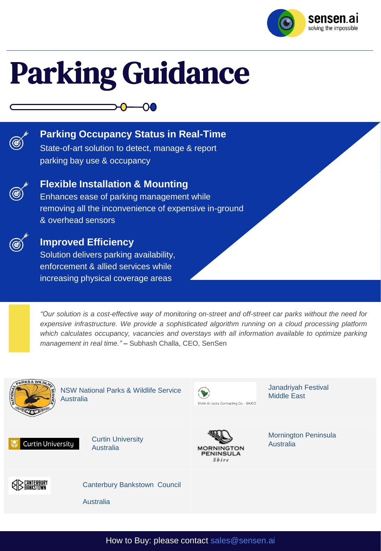

# Parking Guidance



### **Parking Occupancy Status in Real-Time**

-00

State-of-art solution to detect, manage & report parking bay use & occupancy



#### **Flexible Installation & Mounting**

Enhances ease of parking management while removing all the inconvenience of expensive in-ground & overhead sensors



#### **Improved Efficiency**

Solution delivers parking availability, enforcement & allied services while increasing physical coverage areas

"Our solution is a cost-effective way of monitoring on-street and off-street car parks without the need for *expensive infrastructure. We provide a sophisticated algorithm running on a cloud processing platform which calculates occupancy, vacancies and overstays with all information available to optimize parking management in real time."* – Subhash Challa, CEO, SenSen